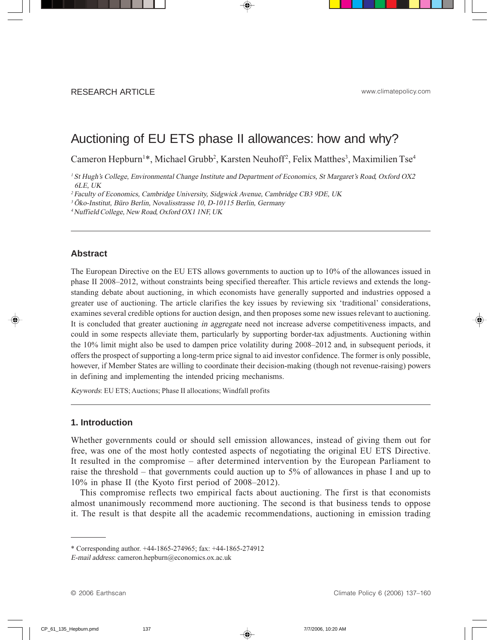### RESEARCH ARTICLE www.climatepolicy.com

# Auctioning of EU ETS phase II allowances: how and why?

Cameron Hepburn<sup>1\*</sup>, Michael Grubb<sup>2</sup>, Karsten Neuhoff<sup>2</sup>, Felix Matthes<sup>3</sup>, Maximilien Tse<sup>4</sup>

<sup>1</sup> St Hugh's College, Environmental Change Institute and Department of Economics, St Margaret's Road, Oxford OX2 6LE, UK

<sup>2</sup>Faculty of Economics, Cambridge University, Sidgwick Avenue, Cambridge CB3 9DE, UK

<sup>3</sup> Öko-Institut, Büro Berlin, Novalisstrasse 10, D-10115 Berlin, Germany

<sup>4</sup>Nuffield College, New Road, Oxford OX1 1NF, UK

# **Abstract**

The European Directive on the EU ETS allows governments to auction up to 10% of the allowances issued in phase II 2008–2012, without constraints being specified thereafter. This article reviews and extends the longstanding debate about auctioning, in which economists have generally supported and industries opposed a greater use of auctioning. The article clarifies the key issues by reviewing six 'traditional' considerations, examines several credible options for auction design, and then proposes some new issues relevant to auctioning. It is concluded that greater auctioning in aggregate need not increase adverse competitiveness impacts, and could in some respects alleviate them, particularly by supporting border-tax adjustments. Auctioning within the 10% limit might also be used to dampen price volatility during 2008–2012 and, in subsequent periods, it offers the prospect of supporting a long-term price signal to aid investor confidence. The former is only possible, however, if Member States are willing to coordinate their decision-making (though not revenue-raising) powers in defining and implementing the intended pricing mechanisms.

Keywords: EU ETS; Auctions; Phase II allocations; Windfall profits

### **1. Introduction**

Whether governments could or should sell emission allowances, instead of giving them out for free, was one of the most hotly contested aspects of negotiating the original EU ETS Directive. It resulted in the compromise – after determined intervention by the European Parliament to raise the threshold – that governments could auction up to 5% of allowances in phase I and up to 10% in phase II (the Kyoto first period of 2008–2012).

This compromise reflects two empirical facts about auctioning. The first is that economists almost unanimously recommend more auctioning. The second is that business tends to oppose it. The result is that despite all the academic recommendations, auctioning in emission trading

<sup>\*</sup> Corresponding author. +44-1865-274965; fax: +44-1865-274912

E-mail address: cameron.hepburn@economics.ox.ac.uk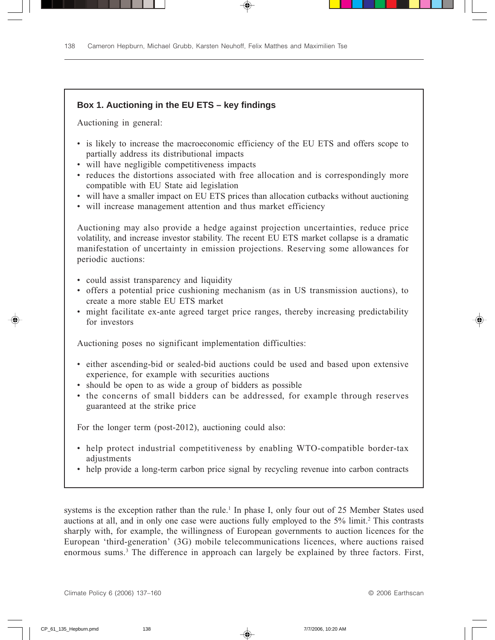# **Box 1. Auctioning in the EU ETS – key findings**

Auctioning in general:

- is likely to increase the macroeconomic efficiency of the EU ETS and offers scope to partially address its distributional impacts
- will have negligible competitiveness impacts
- reduces the distortions associated with free allocation and is correspondingly more compatible with EU State aid legislation
- will have a smaller impact on EU ETS prices than allocation cutbacks without auctioning
- will increase management attention and thus market efficiency

Auctioning may also provide a hedge against projection uncertainties, reduce price volatility, and increase investor stability. The recent EU ETS market collapse is a dramatic manifestation of uncertainty in emission projections. Reserving some allowances for periodic auctions:

- could assist transparency and liquidity
- offers a potential price cushioning mechanism (as in US transmission auctions), to create a more stable EU ETS market
- might facilitate ex-ante agreed target price ranges, thereby increasing predictability for investors

Auctioning poses no significant implementation difficulties:

- either ascending-bid or sealed-bid auctions could be used and based upon extensive experience, for example with securities auctions
- should be open to as wide a group of bidders as possible
- the concerns of small bidders can be addressed, for example through reserves guaranteed at the strike price

For the longer term (post-2012), auctioning could also:

- help protect industrial competitiveness by enabling WTO-compatible border-tax adjustments
- help provide a long-term carbon price signal by recycling revenue into carbon contracts

systems is the exception rather than the rule.<sup>1</sup> In phase I, only four out of 25 Member States used auctions at all, and in only one case were auctions fully employed to the 5% limit.<sup>2</sup> This contrasts sharply with, for example, the willingness of European governments to auction licences for the European 'third-generation' (3G) mobile telecommunications licences, where auctions raised enormous sums.<sup>3</sup> The difference in approach can largely be explained by three factors. First,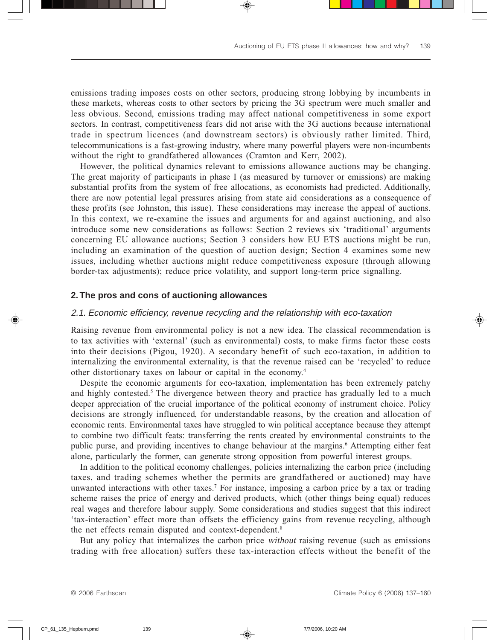emissions trading imposes costs on other sectors, producing strong lobbying by incumbents in these markets, whereas costs to other sectors by pricing the 3G spectrum were much smaller and less obvious. Second, emissions trading may affect national competitiveness in some export sectors. In contrast, competitiveness fears did not arise with the 3G auctions because international trade in spectrum licences (and downstream sectors) is obviously rather limited. Third, telecommunications is a fast-growing industry, where many powerful players were non-incumbents without the right to grandfathered allowances (Cramton and Kerr, 2002).

However, the political dynamics relevant to emissions allowance auctions may be changing. The great majority of participants in phase I (as measured by turnover or emissions) are making substantial profits from the system of free allocations, as economists had predicted. Additionally, there are now potential legal pressures arising from state aid considerations as a consequence of these profits (see Johnston, this issue). These considerations may increase the appeal of auctions. In this context, we re-examine the issues and arguments for and against auctioning, and also introduce some new considerations as follows: Section 2 reviews six 'traditional' arguments concerning EU allowance auctions; Section 3 considers how EU ETS auctions might be run, including an examination of the question of auction design; Section 4 examines some new issues, including whether auctions might reduce competitiveness exposure (through allowing border-tax adjustments); reduce price volatility, and support long-term price signalling.

# **2. The pros and cons of auctioning allowances**

#### 2.1. Economic efficiency, revenue recycling and the relationship with eco-taxation

Raising revenue from environmental policy is not a new idea. The classical recommendation is to tax activities with 'external' (such as environmental) costs, to make firms factor these costs into their decisions (Pigou, 1920). A secondary benefit of such eco-taxation, in addition to internalizing the environmental externality, is that the revenue raised can be 'recycled' to reduce other distortionary taxes on labour or capital in the economy.4

Despite the economic arguments for eco-taxation, implementation has been extremely patchy and highly contested.<sup>5</sup> The divergence between theory and practice has gradually led to a much deeper appreciation of the crucial importance of the political economy of instrument choice. Policy decisions are strongly influenced, for understandable reasons, by the creation and allocation of economic rents. Environmental taxes have struggled to win political acceptance because they attempt to combine two difficult feats: transferring the rents created by environmental constraints to the public purse, and providing incentives to change behaviour at the margins.<sup>6</sup> Attempting either feat alone, particularly the former, can generate strong opposition from powerful interest groups.

In addition to the political economy challenges, policies internalizing the carbon price (including taxes, and trading schemes whether the permits are grandfathered or auctioned) may have unwanted interactions with other taxes.<sup>7</sup> For instance, imposing a carbon price by a tax or trading scheme raises the price of energy and derived products, which (other things being equal) reduces real wages and therefore labour supply. Some considerations and studies suggest that this indirect 'tax-interaction' effect more than offsets the efficiency gains from revenue recycling, although the net effects remain disputed and context-dependent.8

But any policy that internalizes the carbon price without raising revenue (such as emissions trading with free allocation) suffers these tax-interaction effects without the benefit of the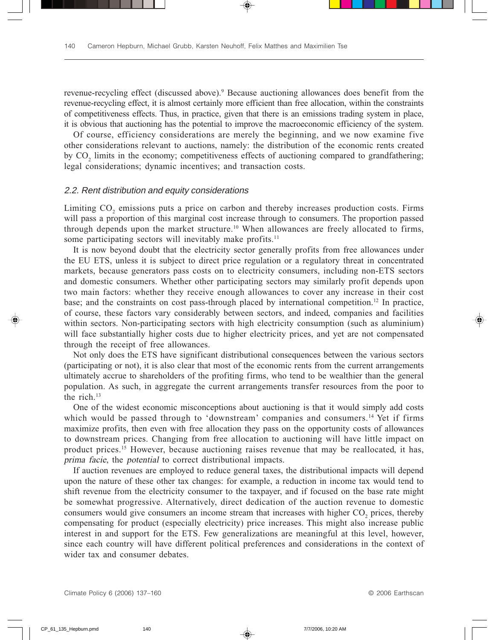revenue-recycling effect (discussed above).<sup>9</sup> Because auctioning allowances does benefit from the revenue-recycling effect, it is almost certainly more efficient than free allocation, within the constraints of competitiveness effects. Thus, in practice, given that there is an emissions trading system in place, it is obvious that auctioning has the potential to improve the macroeconomic efficiency of the system.

Of course, efficiency considerations are merely the beginning, and we now examine five other considerations relevant to auctions, namely: the distribution of the economic rents created by  $CO<sub>2</sub>$  limits in the economy; competitiveness effects of auctioning compared to grandfathering; legal considerations; dynamic incentives; and transaction costs.

### 2.2. Rent distribution and equity considerations

Limiting  $CO_2$  emissions puts a price on carbon and thereby increases production costs. Firms will pass a proportion of this marginal cost increase through to consumers. The proportion passed through depends upon the market structure.10 When allowances are freely allocated to firms, some participating sectors will inevitably make profits.<sup>11</sup>

It is now beyond doubt that the electricity sector generally profits from free allowances under the EU ETS, unless it is subject to direct price regulation or a regulatory threat in concentrated markets, because generators pass costs on to electricity consumers, including non-ETS sectors and domestic consumers. Whether other participating sectors may similarly profit depends upon two main factors: whether they receive enough allowances to cover any increase in their cost base; and the constraints on cost pass-through placed by international competition.<sup>12</sup> In practice, of course, these factors vary considerably between sectors, and indeed, companies and facilities within sectors. Non-participating sectors with high electricity consumption (such as aluminium) will face substantially higher costs due to higher electricity prices, and yet are not compensated through the receipt of free allowances.

Not only does the ETS have significant distributional consequences between the various sectors (participating or not), it is also clear that most of the economic rents from the current arrangements ultimately accrue to shareholders of the profiting firms, who tend to be wealthier than the general population. As such, in aggregate the current arrangements transfer resources from the poor to the rich.13

One of the widest economic misconceptions about auctioning is that it would simply add costs which would be passed through to 'downstream' companies and consumers.<sup>14</sup> Yet if firms maximize profits, then even with free allocation they pass on the opportunity costs of allowances to downstream prices. Changing from free allocation to auctioning will have little impact on product prices.15 However, because auctioning raises revenue that may be reallocated, it has, prima facie, the potential to correct distributional impacts.

If auction revenues are employed to reduce general taxes, the distributional impacts will depend upon the nature of these other tax changes: for example, a reduction in income tax would tend to shift revenue from the electricity consumer to the taxpayer, and if focused on the base rate might be somewhat progressive. Alternatively, direct dedication of the auction revenue to domestic consumers would give consumers an income stream that increases with higher  $CO<sub>2</sub>$  prices, thereby compensating for product (especially electricity) price increases. This might also increase public interest in and support for the ETS. Few generalizations are meaningful at this level, however, since each country will have different political preferences and considerations in the context of wider tax and consumer debates.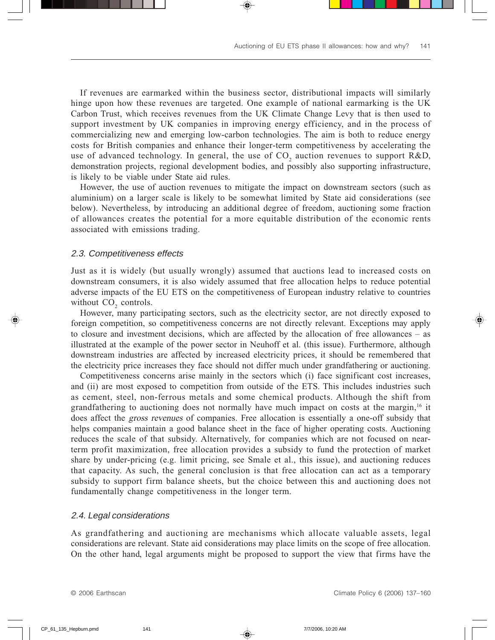If revenues are earmarked within the business sector, distributional impacts will similarly hinge upon how these revenues are targeted. One example of national earmarking is the UK Carbon Trust, which receives revenues from the UK Climate Change Levy that is then used to support investment by UK companies in improving energy efficiency, and in the process of commercializing new and emerging low-carbon technologies. The aim is both to reduce energy costs for British companies and enhance their longer-term competitiveness by accelerating the use of advanced technology. In general, the use of  $CO_2$  auction revenues to support R&D, demonstration projects, regional development bodies, and possibly also supporting infrastructure, is likely to be viable under State aid rules.

However, the use of auction revenues to mitigate the impact on downstream sectors (such as aluminium) on a larger scale is likely to be somewhat limited by State aid considerations (see below). Nevertheless, by introducing an additional degree of freedom, auctioning some fraction of allowances creates the potential for a more equitable distribution of the economic rents associated with emissions trading.

### 2.3. Competitiveness effects

Just as it is widely (but usually wrongly) assumed that auctions lead to increased costs on downstream consumers, it is also widely assumed that free allocation helps to reduce potential adverse impacts of the EU ETS on the competitiveness of European industry relative to countries without  $CO<sub>2</sub>$  controls.

However, many participating sectors, such as the electricity sector, are not directly exposed to foreign competition, so competitiveness concerns are not directly relevant. Exceptions may apply to closure and investment decisions, which are affected by the allocation of free allowances – as illustrated at the example of the power sector in Neuhoff et al. (this issue). Furthermore, although downstream industries are affected by increased electricity prices, it should be remembered that the electricity price increases they face should not differ much under grandfathering or auctioning.

Competitiveness concerns arise mainly in the sectors which (i) face significant cost increases, and (ii) are most exposed to competition from outside of the ETS. This includes industries such as cement, steel, non-ferrous metals and some chemical products. Although the shift from grandfathering to auctioning does not normally have much impact on costs at the margin,<sup>16</sup> it does affect the gross revenues of companies. Free allocation is essentially a one-off subsidy that helps companies maintain a good balance sheet in the face of higher operating costs. Auctioning reduces the scale of that subsidy. Alternatively, for companies which are not focused on nearterm profit maximization, free allocation provides a subsidy to fund the protection of market share by under-pricing (e.g. limit pricing, see Smale et al., this issue), and auctioning reduces that capacity. As such, the general conclusion is that free allocation can act as a temporary subsidy to support firm balance sheets, but the choice between this and auctioning does not fundamentally change competitiveness in the longer term.

### 2.4. Legal considerations

As grandfathering and auctioning are mechanisms which allocate valuable assets, legal considerations are relevant. State aid considerations may place limits on the scope of free allocation. On the other hand, legal arguments might be proposed to support the view that firms have the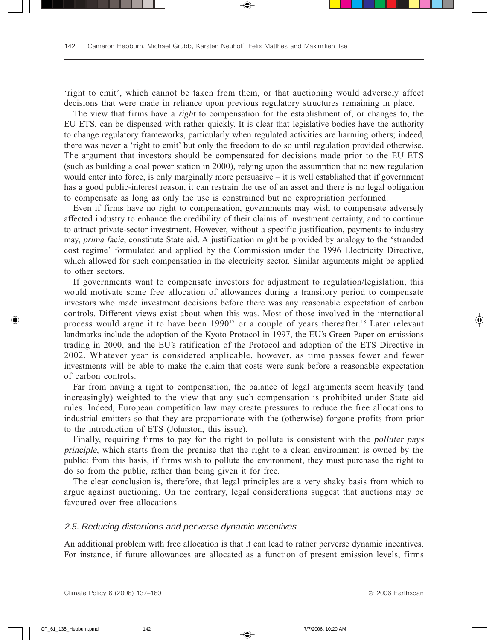'right to emit', which cannot be taken from them, or that auctioning would adversely affect decisions that were made in reliance upon previous regulatory structures remaining in place.

The view that firms have a right to compensation for the establishment of, or changes to, the EU ETS, can be dispensed with rather quickly. It is clear that legislative bodies have the authority to change regulatory frameworks, particularly when regulated activities are harming others; indeed, there was never a 'right to emit' but only the freedom to do so until regulation provided otherwise. The argument that investors should be compensated for decisions made prior to the EU ETS (such as building a coal power station in 2000), relying upon the assumption that no new regulation would enter into force, is only marginally more persuasive – it is well established that if government has a good public-interest reason, it can restrain the use of an asset and there is no legal obligation to compensate as long as only the use is constrained but no expropriation performed.

Even if firms have no right to compensation, governments may wish to compensate adversely affected industry to enhance the credibility of their claims of investment certainty, and to continue to attract private-sector investment. However, without a specific justification, payments to industry may, prima facie, constitute State aid. A justification might be provided by analogy to the 'stranded cost regime' formulated and applied by the Commission under the 1996 Electricity Directive, which allowed for such compensation in the electricity sector. Similar arguments might be applied to other sectors.

If governments want to compensate investors for adjustment to regulation/legislation, this would motivate some free allocation of allowances during a transitory period to compensate investors who made investment decisions before there was any reasonable expectation of carbon controls. Different views exist about when this was. Most of those involved in the international process would argue it to have been 1990<sup>17</sup> or a couple of years thereafter.<sup>18</sup> Later relevant landmarks include the adoption of the Kyoto Protocol in 1997, the EU's Green Paper on emissions trading in 2000, and the EU's ratification of the Protocol and adoption of the ETS Directive in 2002. Whatever year is considered applicable, however, as time passes fewer and fewer investments will be able to make the claim that costs were sunk before a reasonable expectation of carbon controls.

Far from having a right to compensation, the balance of legal arguments seem heavily (and increasingly) weighted to the view that any such compensation is prohibited under State aid rules. Indeed, European competition law may create pressures to reduce the free allocations to industrial emitters so that they are proportionate with the (otherwise) forgone profits from prior to the introduction of ETS (Johnston, this issue).

Finally, requiring firms to pay for the right to pollute is consistent with the *polluter pays* principle, which starts from the premise that the right to a clean environment is owned by the public: from this basis, if firms wish to pollute the environment, they must purchase the right to do so from the public, rather than being given it for free.

The clear conclusion is, therefore, that legal principles are a very shaky basis from which to argue against auctioning. On the contrary, legal considerations suggest that auctions may be favoured over free allocations.

### 2.5. Reducing distortions and perverse dynamic incentives

An additional problem with free allocation is that it can lead to rather perverse dynamic incentives. For instance, if future allowances are allocated as a function of present emission levels, firms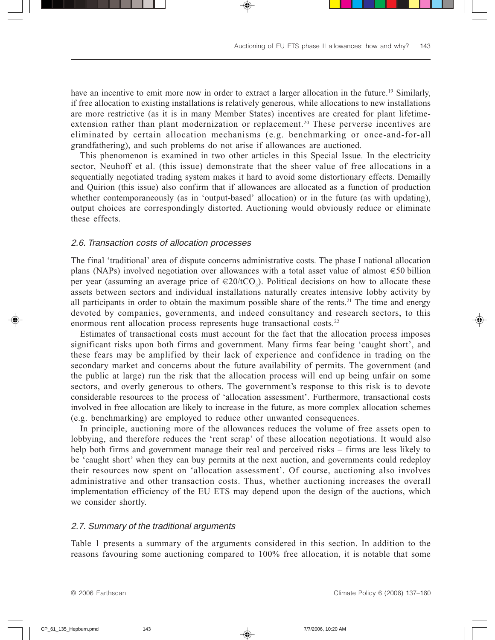have an incentive to emit more now in order to extract a larger allocation in the future.<sup>19</sup> Similarly, if free allocation to existing installations is relatively generous, while allocations to new installations are more restrictive (as it is in many Member States) incentives are created for plant lifetimeextension rather than plant modernization or replacement.<sup>20</sup> These perverse incentives are eliminated by certain allocation mechanisms (e.g. benchmarking or once-and-for-all grandfathering), and such problems do not arise if allowances are auctioned.

This phenomenon is examined in two other articles in this Special Issue. In the electricity sector, Neuhoff et al. (this issue) demonstrate that the sheer value of free allocations in a sequentially negotiated trading system makes it hard to avoid some distortionary effects. Demailly and Quirion (this issue) also confirm that if allowances are allocated as a function of production whether contemporaneously (as in 'output-based' allocation) or in the future (as with updating), output choices are correspondingly distorted. Auctioning would obviously reduce or eliminate these effects.

### 2.6. Transaction costs of allocation processes

The final 'traditional' area of dispute concerns administrative costs. The phase I national allocation plans (NAPs) involved negotiation over allowances with a total asset value of almost  $\epsilon$ 50 billion per year (assuming an average price of  $\in 20/tCO<sub>2</sub>$ ). Political decisions on how to allocate these assets between sectors and individual installations naturally creates intensive lobby activity by all participants in order to obtain the maximum possible share of the rents.<sup>21</sup> The time and energy devoted by companies, governments, and indeed consultancy and research sectors, to this enormous rent allocation process represents huge transactional costs.<sup>22</sup>

Estimates of transactional costs must account for the fact that the allocation process imposes significant risks upon both firms and government. Many firms fear being 'caught short', and these fears may be amplified by their lack of experience and confidence in trading on the secondary market and concerns about the future availability of permits. The government (and the public at large) run the risk that the allocation process will end up being unfair on some sectors, and overly generous to others. The government's response to this risk is to devote considerable resources to the process of 'allocation assessment'. Furthermore, transactional costs involved in free allocation are likely to increase in the future, as more complex allocation schemes (e.g. benchmarking) are employed to reduce other unwanted consequences.

In principle, auctioning more of the allowances reduces the volume of free assets open to lobbying, and therefore reduces the 'rent scrap' of these allocation negotiations. It would also help both firms and government manage their real and perceived risks – firms are less likely to be 'caught short' when they can buy permits at the next auction, and governments could redeploy their resources now spent on 'allocation assessment'. Of course, auctioning also involves administrative and other transaction costs. Thus, whether auctioning increases the overall implementation efficiency of the EU ETS may depend upon the design of the auctions, which we consider shortly.

### 2.7. Summary of the traditional arguments

Table 1 presents a summary of the arguments considered in this section. In addition to the reasons favouring some auctioning compared to 100% free allocation, it is notable that some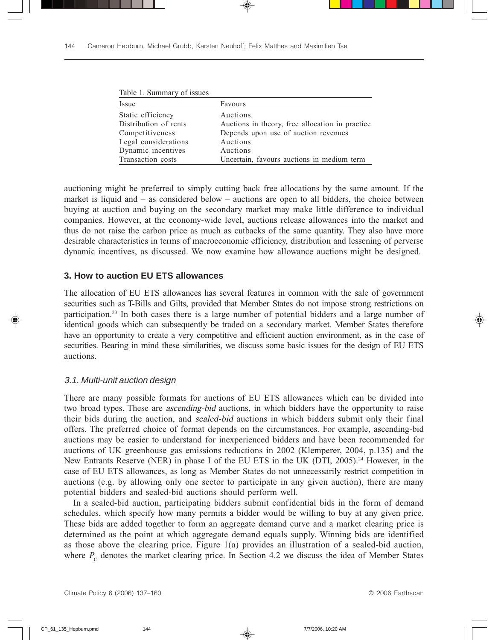| Table 1. Summary of issues |                                                 |
|----------------------------|-------------------------------------------------|
| Issue                      | Favours                                         |
| Static efficiency          | Auctions                                        |
| Distribution of rents      | Auctions in theory, free allocation in practice |
| Competitiveness            | Depends upon use of auction revenues            |
| Legal considerations       | Auctions                                        |
| Dynamic incentives         | Auctions                                        |
| Transaction costs          | Uncertain, favours auctions in medium term      |

auctioning might be preferred to simply cutting back free allocations by the same amount. If the market is liquid and  $-$  as considered below  $-$  auctions are open to all bidders, the choice between buying at auction and buying on the secondary market may make little difference to individual companies. However, at the economy-wide level, auctions release allowances into the market and thus do not raise the carbon price as much as cutbacks of the same quantity. They also have more desirable characteristics in terms of macroeconomic efficiency, distribution and lessening of perverse dynamic incentives, as discussed. We now examine how allowance auctions might be designed.

# **3. How to auction EU ETS allowances**

The allocation of EU ETS allowances has several features in common with the sale of government securities such as T-Bills and Gilts, provided that Member States do not impose strong restrictions on participation.23 In both cases there is a large number of potential bidders and a large number of identical goods which can subsequently be traded on a secondary market. Member States therefore have an opportunity to create a very competitive and efficient auction environment, as in the case of securities. Bearing in mind these similarities, we discuss some basic issues for the design of EU ETS auctions.

### 3.1. Multi-unit auction design

There are many possible formats for auctions of EU ETS allowances which can be divided into two broad types. These are *ascending-bid* auctions, in which bidders have the opportunity to raise their bids during the auction, and sealed-bid auctions in which bidders submit only their final offers. The preferred choice of format depends on the circumstances. For example, ascending-bid auctions may be easier to understand for inexperienced bidders and have been recommended for auctions of UK greenhouse gas emissions reductions in 2002 (Klemperer, 2004, p.135) and the New Entrants Reserve (NER) in phase I of the EU ETS in the UK (DTI, 2005).<sup>24</sup> However, in the case of EU ETS allowances, as long as Member States do not unnecessarily restrict competition in auctions (e.g. by allowing only one sector to participate in any given auction), there are many potential bidders and sealed-bid auctions should perform well.

In a sealed-bid auction, participating bidders submit confidential bids in the form of demand schedules, which specify how many permits a bidder would be willing to buy at any given price. These bids are added together to form an aggregate demand curve and a market clearing price is determined as the point at which aggregate demand equals supply. Winning bids are identified as those above the clearing price. Figure 1(a) provides an illustration of a sealed-bid auction, where  $P_c$  denotes the market clearing price. In Section 4.2 we discuss the idea of Member States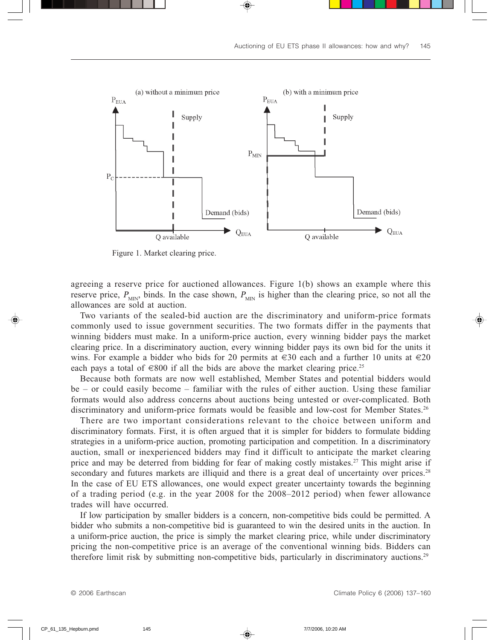

Figure 1. Market clearing price.

agreeing a reserve price for auctioned allowances. Figure 1(b) shows an example where this reserve price,  $P_{\text{MIN}}$ , binds. In the case shown,  $P_{\text{MIN}}$  is higher than the clearing price, so not all the allowances are sold at auction.

Two variants of the sealed-bid auction are the discriminatory and uniform-price formats commonly used to issue government securities. The two formats differ in the payments that winning bidders must make. In a uniform-price auction, every winning bidder pays the market clearing price. In a discriminatory auction, every winning bidder pays its own bid for the units it wins. For example a bidder who bids for 20 permits at  $\in \{30\}$  each and a further 10 units at  $\in \{20\}$ each pays a total of  $\in 800$  if all the bids are above the market clearing price.<sup>25</sup>

Because both formats are now well established, Member States and potential bidders would be – or could easily become – familiar with the rules of either auction. Using these familiar formats would also address concerns about auctions being untested or over-complicated. Both discriminatory and uniform-price formats would be feasible and low-cost for Member States.<sup>26</sup>

There are two important considerations relevant to the choice between uniform and discriminatory formats. First, it is often argued that it is simpler for bidders to formulate bidding strategies in a uniform-price auction, promoting participation and competition. In a discriminatory auction, small or inexperienced bidders may find it difficult to anticipate the market clearing price and may be deterred from bidding for fear of making costly mistakes.<sup>27</sup> This might arise if secondary and futures markets are illiquid and there is a great deal of uncertainty over prices.<sup>28</sup> In the case of EU ETS allowances, one would expect greater uncertainty towards the beginning of a trading period (e.g. in the year 2008 for the 2008–2012 period) when fewer allowance trades will have occurred.

If low participation by smaller bidders is a concern, non-competitive bids could be permitted. A bidder who submits a non-competitive bid is guaranteed to win the desired units in the auction. In a uniform-price auction, the price is simply the market clearing price, while under discriminatory pricing the non-competitive price is an average of the conventional winning bids. Bidders can therefore limit risk by submitting non-competitive bids, particularly in discriminatory auctions.29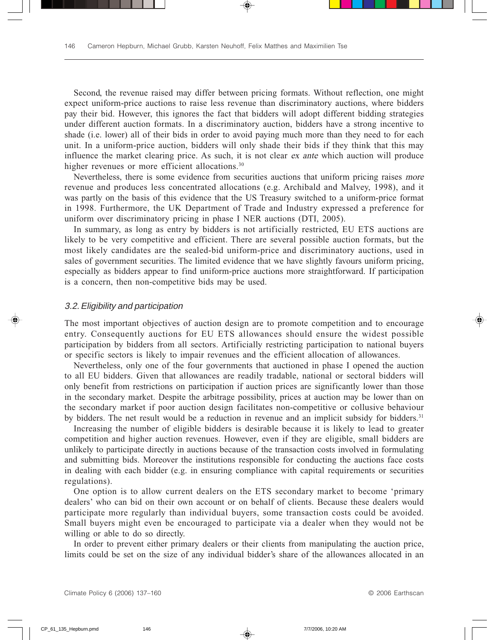Second, the revenue raised may differ between pricing formats. Without reflection, one might expect uniform-price auctions to raise less revenue than discriminatory auctions, where bidders pay their bid. However, this ignores the fact that bidders will adopt different bidding strategies under different auction formats. In a discriminatory auction, bidders have a strong incentive to shade (i.e. lower) all of their bids in order to avoid paying much more than they need to for each unit. In a uniform-price auction, bidders will only shade their bids if they think that this may influence the market clearing price. As such, it is not clear ex ante which auction will produce higher revenues or more efficient allocations.<sup>30</sup>

Nevertheless, there is some evidence from securities auctions that uniform pricing raises more revenue and produces less concentrated allocations (e.g. Archibald and Malvey, 1998), and it was partly on the basis of this evidence that the US Treasury switched to a uniform-price format in 1998. Furthermore, the UK Department of Trade and Industry expressed a preference for uniform over discriminatory pricing in phase I NER auctions (DTI, 2005).

In summary, as long as entry by bidders is not artificially restricted, EU ETS auctions are likely to be very competitive and efficient. There are several possible auction formats, but the most likely candidates are the sealed-bid uniform-price and discriminatory auctions, used in sales of government securities. The limited evidence that we have slightly favours uniform pricing, especially as bidders appear to find uniform-price auctions more straightforward. If participation is a concern, then non-competitive bids may be used.

### 3.2. Eligibility and participation

The most important objectives of auction design are to promote competition and to encourage entry. Consequently auctions for EU ETS allowances should ensure the widest possible participation by bidders from all sectors. Artificially restricting participation to national buyers or specific sectors is likely to impair revenues and the efficient allocation of allowances.

Nevertheless, only one of the four governments that auctioned in phase I opened the auction to all EU bidders. Given that allowances are readily tradable, national or sectoral bidders will only benefit from restrictions on participation if auction prices are significantly lower than those in the secondary market. Despite the arbitrage possibility, prices at auction may be lower than on the secondary market if poor auction design facilitates non-competitive or collusive behaviour by bidders. The net result would be a reduction in revenue and an implicit subsidy for bidders.<sup>31</sup>

Increasing the number of eligible bidders is desirable because it is likely to lead to greater competition and higher auction revenues. However, even if they are eligible, small bidders are unlikely to participate directly in auctions because of the transaction costs involved in formulating and submitting bids. Moreover the institutions responsible for conducting the auctions face costs in dealing with each bidder (e.g. in ensuring compliance with capital requirements or securities regulations).

One option is to allow current dealers on the ETS secondary market to become 'primary dealers' who can bid on their own account or on behalf of clients. Because these dealers would participate more regularly than individual buyers, some transaction costs could be avoided. Small buyers might even be encouraged to participate via a dealer when they would not be willing or able to do so directly.

In order to prevent either primary dealers or their clients from manipulating the auction price, limits could be set on the size of any individual bidder's share of the allowances allocated in an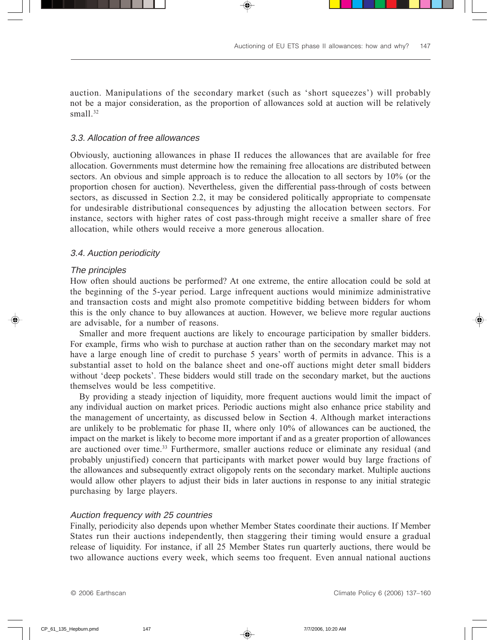auction. Manipulations of the secondary market (such as 'short squeezes') will probably not be a major consideration, as the proportion of allowances sold at auction will be relatively small. $32$ 

# 3.3. Allocation of free allowances

Obviously, auctioning allowances in phase II reduces the allowances that are available for free allocation. Governments must determine how the remaining free allocations are distributed between sectors. An obvious and simple approach is to reduce the allocation to all sectors by 10% (or the proportion chosen for auction). Nevertheless, given the differential pass-through of costs between sectors, as discussed in Section 2.2, it may be considered politically appropriate to compensate for undesirable distributional consequences by adjusting the allocation between sectors. For instance, sectors with higher rates of cost pass-through might receive a smaller share of free allocation, while others would receive a more generous allocation.

# 3.4. Auction periodicity

#### The principles

How often should auctions be performed? At one extreme, the entire allocation could be sold at the beginning of the 5-year period. Large infrequent auctions would minimize administrative and transaction costs and might also promote competitive bidding between bidders for whom this is the only chance to buy allowances at auction. However, we believe more regular auctions are advisable, for a number of reasons.

Smaller and more frequent auctions are likely to encourage participation by smaller bidders. For example, firms who wish to purchase at auction rather than on the secondary market may not have a large enough line of credit to purchase 5 years' worth of permits in advance. This is a substantial asset to hold on the balance sheet and one-off auctions might deter small bidders without 'deep pockets'. These bidders would still trade on the secondary market, but the auctions themselves would be less competitive.

By providing a steady injection of liquidity, more frequent auctions would limit the impact of any individual auction on market prices. Periodic auctions might also enhance price stability and the management of uncertainty, as discussed below in Section 4. Although market interactions are unlikely to be problematic for phase II, where only 10% of allowances can be auctioned, the impact on the market is likely to become more important if and as a greater proportion of allowances are auctioned over time.<sup>33</sup> Furthermore, smaller auctions reduce or eliminate any residual (and probably unjustified) concern that participants with market power would buy large fractions of the allowances and subsequently extract oligopoly rents on the secondary market. Multiple auctions would allow other players to adjust their bids in later auctions in response to any initial strategic purchasing by large players.

# Auction frequency with 25 countries

Finally, periodicity also depends upon whether Member States coordinate their auctions. If Member States run their auctions independently, then staggering their timing would ensure a gradual release of liquidity. For instance, if all 25 Member States run quarterly auctions, there would be two allowance auctions every week, which seems too frequent. Even annual national auctions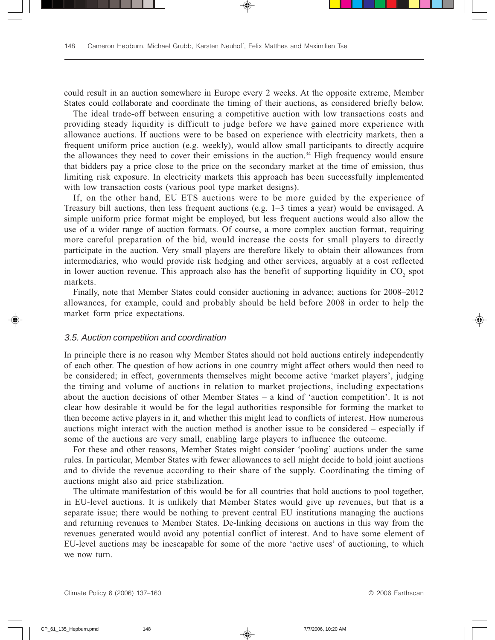could result in an auction somewhere in Europe every 2 weeks. At the opposite extreme, Member States could collaborate and coordinate the timing of their auctions, as considered briefly below.

The ideal trade-off between ensuring a competitive auction with low transactions costs and providing steady liquidity is difficult to judge before we have gained more experience with allowance auctions. If auctions were to be based on experience with electricity markets, then a frequent uniform price auction (e.g. weekly), would allow small participants to directly acquire the allowances they need to cover their emissions in the auction.34 High frequency would ensure that bidders pay a price close to the price on the secondary market at the time of emission, thus limiting risk exposure. In electricity markets this approach has been successfully implemented with low transaction costs (various pool type market designs).

If, on the other hand, EU ETS auctions were to be more guided by the experience of Treasury bill auctions, then less frequent auctions (e.g. 1–3 times a year) would be envisaged. A simple uniform price format might be employed, but less frequent auctions would also allow the use of a wider range of auction formats. Of course, a more complex auction format, requiring more careful preparation of the bid, would increase the costs for small players to directly participate in the auction. Very small players are therefore likely to obtain their allowances from intermediaries, who would provide risk hedging and other services, arguably at a cost reflected in lower auction revenue. This approach also has the benefit of supporting liquidity in  $CO_2$  spot markets.

Finally, note that Member States could consider auctioning in advance; auctions for 2008–2012 allowances, for example, could and probably should be held before 2008 in order to help the market form price expectations.

### 3.5. Auction competition and coordination

In principle there is no reason why Member States should not hold auctions entirely independently of each other. The question of how actions in one country might affect others would then need to be considered; in effect, governments themselves might become active 'market players', judging the timing and volume of auctions in relation to market projections, including expectations about the auction decisions of other Member States – a kind of 'auction competition'. It is not clear how desirable it would be for the legal authorities responsible for forming the market to then become active players in it, and whether this might lead to conflicts of interest. How numerous auctions might interact with the auction method is another issue to be considered – especially if some of the auctions are very small, enabling large players to influence the outcome.

For these and other reasons, Member States might consider 'pooling' auctions under the same rules. In particular, Member States with fewer allowances to sell might decide to hold joint auctions and to divide the revenue according to their share of the supply. Coordinating the timing of auctions might also aid price stabilization.

The ultimate manifestation of this would be for all countries that hold auctions to pool together, in EU-level auctions. It is unlikely that Member States would give up revenues, but that is a separate issue; there would be nothing to prevent central EU institutions managing the auctions and returning revenues to Member States. De-linking decisions on auctions in this way from the revenues generated would avoid any potential conflict of interest. And to have some element of EU-level auctions may be inescapable for some of the more 'active uses' of auctioning, to which we now turn.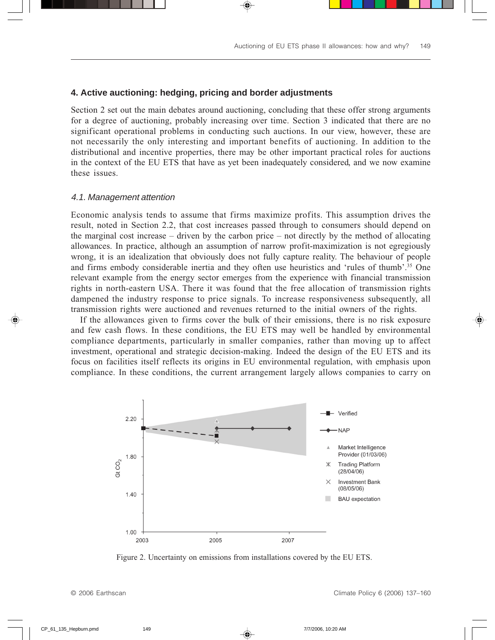# **4. Active auctioning: hedging, pricing and border adjustments**

Section 2 set out the main debates around auctioning, concluding that these offer strong arguments for a degree of auctioning, probably increasing over time. Section 3 indicated that there are no significant operational problems in conducting such auctions. In our view, however, these are not necessarily the only interesting and important benefits of auctioning. In addition to the distributional and incentive properties, there may be other important practical roles for auctions in the context of the EU ETS that have as yet been inadequately considered, and we now examine these issues.

#### 4.1. Management attention

Economic analysis tends to assume that firms maximize profits. This assumption drives the result, noted in Section 2.2, that cost increases passed through to consumers should depend on the marginal cost increase – driven by the carbon price – not directly by the method of allocating allowances. In practice, although an assumption of narrow profit-maximization is not egregiously wrong, it is an idealization that obviously does not fully capture reality. The behaviour of people and firms embody considerable inertia and they often use heuristics and 'rules of thumb'.35 One relevant example from the energy sector emerges from the experience with financial transmission rights in north-eastern USA. There it was found that the free allocation of transmission rights dampened the industry response to price signals. To increase responsiveness subsequently, all transmission rights were auctioned and revenues returned to the initial owners of the rights.

If the allowances given to firms cover the bulk of their emissions, there is no risk exposure and few cash flows. In these conditions, the EU ETS may well be handled by environmental compliance departments, particularly in smaller companies, rather than moving up to affect investment, operational and strategic decision-making. Indeed the design of the EU ETS and its focus on facilities itself reflects its origins in EU environmental regulation, with emphasis upon compliance. In these conditions, the current arrangement largely allows companies to carry on



Figure 2. Uncertainty on emissions from installations covered by the EU ETS.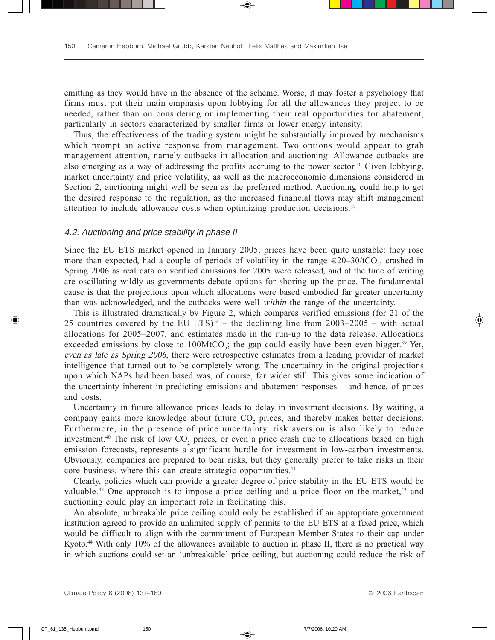emitting as they would have in the absence of the scheme. Worse, it may foster a psychology that firms must put their main emphasis upon lobbying for all the allowances they project to be needed, rather than on considering or implementing their real opportunities for abatement, particularly in sectors characterized by smaller firms or lower energy intensity.

Thus, the effectiveness of the trading system might be substantially improved by mechanisms which prompt an active response from management. Two options would appear to grab management attention, namely cutbacks in allocation and auctioning. Allowance cutbacks are also emerging as a way of addressing the profits accruing to the power sector.<sup>36</sup> Given lobbying, market uncertainty and price volatility, as well as the macroeconomic dimensions considered in Section 2, auctioning might well be seen as the preferred method. Auctioning could help to get the desired response to the regulation, as the increased financial flows may shift management attention to include allowance costs when optimizing production decisions.<sup>37</sup>

### 4.2. Auctioning and price stability in phase II

Since the EU ETS market opened in January 2005, prices have been quite unstable: they rose more than expected, had a couple of periods of volatility in the range  $\epsilon$ 20–30/tCO<sub>2</sub>, crashed in Spring 2006 as real data on verified emissions for 2005 were released, and at the time of writing are oscillating wildly as governments debate options for shoring up the price. The fundamental cause is that the projections upon which allocations were based embodied far greater uncertainty than was acknowledged, and the cutbacks were well within the range of the uncertainty.

This is illustrated dramatically by Figure 2, which compares verified emissions (for 21 of the 25 countries covered by the EU ETS)<sup>38</sup> – the declining line from 2003–2005 – with actual allocations for 2005–2007, and estimates made in the run-up to the data release. Allocations exceeded emissions by close to  $100MtCO<sub>2</sub>$ ; the gap could easily have been even bigger.<sup>39</sup> Yet, even as late as Spring 2006, there were retrospective estimates from a leading provider of market intelligence that turned out to be completely wrong. The uncertainty in the original projections upon which NAPs had been based was, of course, far wider still. This gives some indication of the uncertainty inherent in predicting emissions and abatement responses – and hence, of prices and costs.

Uncertainty in future allowance prices leads to delay in investment decisions. By waiting, a company gains more knowledge about future  $CO_2$  prices, and thereby makes better decisions. Furthermore, in the presence of price uncertainty, risk aversion is also likely to reduce investment.<sup>40</sup> The risk of low  $CO_2$  prices, or even a price crash due to allocations based on high emission forecasts, represents a significant hurdle for investment in low-carbon investments. Obviously, companies are prepared to bear risks, but they generally prefer to take risks in their core business, where this can create strategic opportunities.<sup>41</sup>

Clearly, policies which can provide a greater degree of price stability in the EU ETS would be valuable.<sup>42</sup> One approach is to impose a price ceiling and a price floor on the market,<sup>43</sup> and auctioning could play an important role in facilitating this.

An absolute, unbreakable price ceiling could only be established if an appropriate government institution agreed to provide an unlimited supply of permits to the EU ETS at a fixed price, which would be difficult to align with the commitment of European Member States to their cap under Kyoto.<sup>44</sup> With only 10% of the allowances available to auction in phase II, there is no practical way in which auctions could set an 'unbreakable' price ceiling, but auctioning could reduce the risk of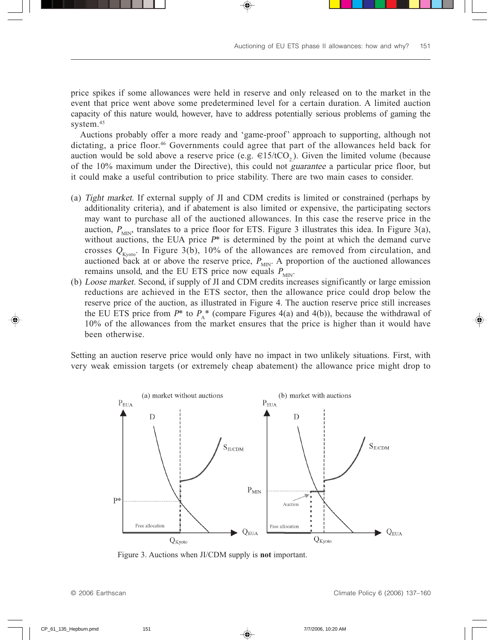price spikes if some allowances were held in reserve and only released on to the market in the event that price went above some predetermined level for a certain duration. A limited auction capacity of this nature would, however, have to address potentially serious problems of gaming the system.<sup>45</sup>

Auctions probably offer a more ready and 'game-proof' approach to supporting, although not dictating, a price floor.<sup>46</sup> Governments could agree that part of the allowances held back for auction would be sold above a reserve price (e.g.  $\in 15/tCO<sub>2</sub>$ ). Given the limited volume (because of the 10% maximum under the Directive), this could not guarantee a particular price floor, but it could make a useful contribution to price stability. There are two main cases to consider.

- (a) Tight market. If external supply of JI and CDM credits is limited or constrained (perhaps by additionality criteria), and if abatement is also limited or expensive, the participating sectors may want to purchase all of the auctioned allowances. In this case the reserve price in the auction,  $P_{MIN}$ , translates to a price floor for ETS. Figure 3 illustrates this idea. In Figure 3(a), without auctions, the EUA price  $P^*$  is determined by the point at which the demand curve crosses  $Q_{Kyoto}$ . In Figure 3(b), 10% of the allowances are removed from circulation, and auctioned back at or above the reserve price,  $P_{\text{MIN}}$ . A proportion of the auctioned allowances remains unsold, and the EU ETS price now equals  $P_{MN}$ .
- (b) Loose market. Second, if supply of JI and CDM credits increases significantly or large emission reductions are achieved in the ETS sector, then the allowance price could drop below the reserve price of the auction, as illustrated in Figure 4. The auction reserve price still increases the EU ETS price from  $P^*$  to  $P_A^*$  (compare Figures 4(a) and 4(b)), because the withdrawal of 10% of the allowances from the market ensures that the price is higher than it would have been otherwise.

Setting an auction reserve price would only have no impact in two unlikely situations. First, with very weak emission targets (or extremely cheap abatement) the allowance price might drop to



Figure 3. Auctions when JI/CDM supply is **not** important.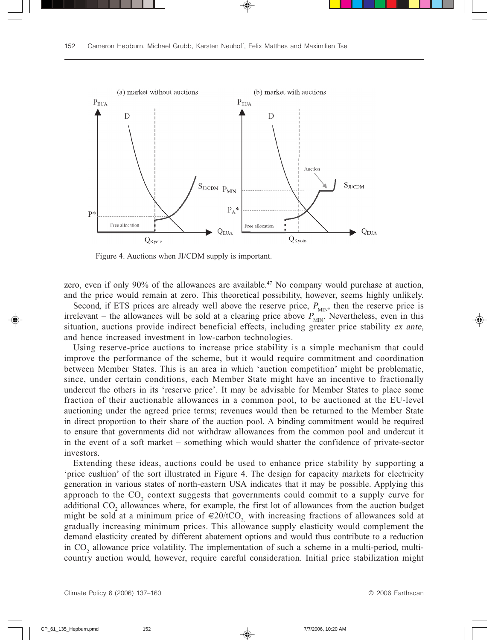

Figure 4. Auctions when JI/CDM supply is important.

zero, even if only 90% of the allowances are available.<sup>47</sup> No company would purchase at auction, and the price would remain at zero. This theoretical possibility, however, seems highly unlikely.

Second, if ETS prices are already well above the reserve price,  $P_{\text{MIN}}$ , then the reserve price is irrelevant – the allowances will be sold at a clearing price above  $P_{\text{MIN}}$ . Nevertheless, even in this situation, auctions provide indirect beneficial effects, including greater price stability ex ante, and hence increased investment in low-carbon technologies.

Using reserve-price auctions to increase price stability is a simple mechanism that could improve the performance of the scheme, but it would require commitment and coordination between Member States. This is an area in which 'auction competition' might be problematic, since, under certain conditions, each Member State might have an incentive to fractionally undercut the others in its 'reserve price'. It may be advisable for Member States to place some fraction of their auctionable allowances in a common pool, to be auctioned at the EU-level auctioning under the agreed price terms; revenues would then be returned to the Member State in direct proportion to their share of the auction pool. A binding commitment would be required to ensure that governments did not withdraw allowances from the common pool and undercut it in the event of a soft market – something which would shatter the confidence of private-sector investors.

Extending these ideas, auctions could be used to enhance price stability by supporting a 'price cushion' of the sort illustrated in Figure 4. The design for capacity markets for electricity generation in various states of north-eastern USA indicates that it may be possible. Applying this approach to the  $\mathrm{CO}_2$  context suggests that governments could commit to a supply curve for additional  $CO_2$  allowances where, for example, the first lot of allowances from the auction budget might be sold at a minimum price of  $\epsilon$ 20/tCO<sub>2</sub> with increasing fractions of allowances sold at gradually increasing minimum prices. This allowance supply elasticity would complement the demand elasticity created by different abatement options and would thus contribute to a reduction in  $CO_2$  allowance price volatility. The implementation of such a scheme in a multi-period, multicountry auction would, however, require careful consideration. Initial price stabilization might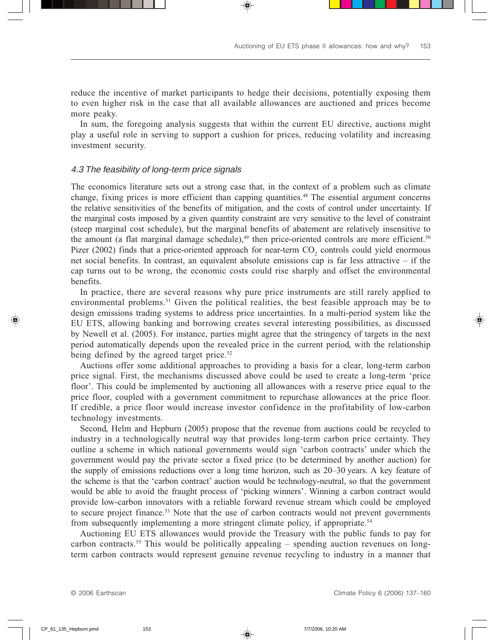reduce the incentive of market participants to hedge their decisions, potentially exposing them to even higher risk in the case that all available allowances are auctioned and prices become more peaky.

In sum, the foregoing analysis suggests that within the current EU directive, auctions might play a useful role in serving to support a cushion for prices, reducing volatility and increasing investment security.

### 4.3 The feasibility of long-term price signals

The economics literature sets out a strong case that, in the context of a problem such as climate change, fixing prices is more efficient than capping quantities.48 The essential argument concerns the relative sensitivities of the benefits of mitigation, and the costs of control under uncertainty. If the marginal costs imposed by a given quantity constraint are very sensitive to the level of constraint (steep marginal cost schedule), but the marginal benefits of abatement are relatively insensitive to the amount (a flat marginal damage schedule),<sup>49</sup> then price-oriented controls are more efficient.<sup>50</sup> Pizer (2002) finds that a price-oriented approach for near-term  $CO_2$  controls could yield enormous net social benefits. In contrast, an equivalent absolute emissions cap is far less attractive – if the cap turns out to be wrong, the economic costs could rise sharply and offset the environmental benefits.

In practice, there are several reasons why pure price instruments are still rarely applied to environmental problems.<sup>51</sup> Given the political realities, the best feasible approach may be to design emissions trading systems to address price uncertainties. In a multi-period system like the EU ETS, allowing banking and borrowing creates several interesting possibilities, as discussed by Newell et al. (2005). For instance, parties might agree that the stringency of targets in the next period automatically depends upon the revealed price in the current period, with the relationship being defined by the agreed target price.<sup>52</sup>

Auctions offer some additional approaches to providing a basis for a clear, long-term carbon price signal. First, the mechanisms discussed above could be used to create a long-term 'price floor'. This could be implemented by auctioning all allowances with a reserve price equal to the price floor, coupled with a government commitment to repurchase allowances at the price floor. If credible, a price floor would increase investor confidence in the profitability of low-carbon technology investments.

Second, Helm and Hepburn (2005) propose that the revenue from auctions could be recycled to industry in a technologically neutral way that provides long-term carbon price certainty. They outline a scheme in which national governments would sign 'carbon contracts' under which the government would pay the private sector a fixed price (to be determined by another auction) for the supply of emissions reductions over a long time horizon, such as 20–30 years. A key feature of the scheme is that the 'carbon contract' auction would be technology-neutral, so that the government would be able to avoid the fraught process of 'picking winners'. Winning a carbon contract would provide low-carbon innovators with a reliable forward revenue stream which could be employed to secure project finance.<sup>53</sup> Note that the use of carbon contracts would not prevent governments from subsequently implementing a more stringent climate policy, if appropriate.<sup>54</sup>

Auctioning EU ETS allowances would provide the Treasury with the public funds to pay for carbon contracts.<sup>55</sup> This would be politically appealing – spending auction revenues on longterm carbon contracts would represent genuine revenue recycling to industry in a manner that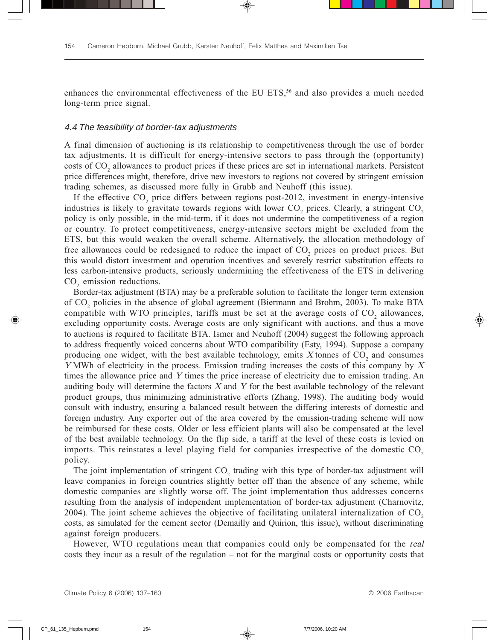enhances the environmental effectiveness of the EU ETS,<sup>56</sup> and also provides a much needed long-term price signal.

### 4.4 The feasibility of border-tax adjustments

A final dimension of auctioning is its relationship to competitiveness through the use of border tax adjustments. It is difficult for energy-intensive sectors to pass through the (opportunity) costs of  $CO_2$  allowances to product prices if these prices are set in international markets. Persistent price differences might, therefore, drive new investors to regions not covered by stringent emission trading schemes, as discussed more fully in Grubb and Neuhoff (this issue).

If the effective  $CO_2$  price differs between regions post-2012, investment in energy-intensive industries is likely to gravitate towards regions with lower  $CO_2$  prices. Clearly, a stringent  $CO_2$ policy is only possible, in the mid-term, if it does not undermine the competitiveness of a region or country. To protect competitiveness, energy-intensive sectors might be excluded from the ETS, but this would weaken the overall scheme. Alternatively, the allocation methodology of free allowances could be redesigned to reduce the impact of  $CO_2$  prices on product prices. But this would distort investment and operation incentives and severely restrict substitution effects to less carbon-intensive products, seriously undermining the effectiveness of the ETS in delivering  $CO<sub>2</sub>$  emission reductions.

Border-tax adjustment (BTA) may be a preferable solution to facilitate the longer term extension of CO<sub>2</sub> policies in the absence of global agreement (Biermann and Brohm, 2003). To make BTA compatible with WTO principles, tariffs must be set at the average costs of  $CO_2$  allowances, excluding opportunity costs. Average costs are only significant with auctions, and thus a move to auctions is required to facilitate BTA. Ismer and Neuhoff (2004) suggest the following approach to address frequently voiced concerns about WTO compatibility (Esty, 1994). Suppose a company producing one widget, with the best available technology, emits  $X$  tonnes of  $CO_2$  and consumes YMWh of electricity in the process. Emission trading increases the costs of this company by X times the allowance price and Y times the price increase of electricity due to emission trading. An auditing body will determine the factors  $X$  and  $Y$  for the best available technology of the relevant product groups, thus minimizing administrative efforts (Zhang, 1998). The auditing body would consult with industry, ensuring a balanced result between the differing interests of domestic and foreign industry. Any exporter out of the area covered by the emission-trading scheme will now be reimbursed for these costs. Older or less efficient plants will also be compensated at the level of the best available technology. On the flip side, a tariff at the level of these costs is levied on imports. This reinstates a level playing field for companies irrespective of the domestic  $CO<sub>2</sub>$ policy.

The joint implementation of stringent  $CO_2$  trading with this type of border-tax adjustment will leave companies in foreign countries slightly better off than the absence of any scheme, while domestic companies are slightly worse off. The joint implementation thus addresses concerns resulting from the analysis of independent implementation of border-tax adjustment (Charnovitz, 2004). The joint scheme achieves the objective of facilitating unilateral internalization of  $CO<sub>2</sub>$ costs, as simulated for the cement sector (Demailly and Quirion, this issue), without discriminating against foreign producers.

However, WTO regulations mean that companies could only be compensated for the real costs they incur as a result of the regulation – not for the marginal costs or opportunity costs that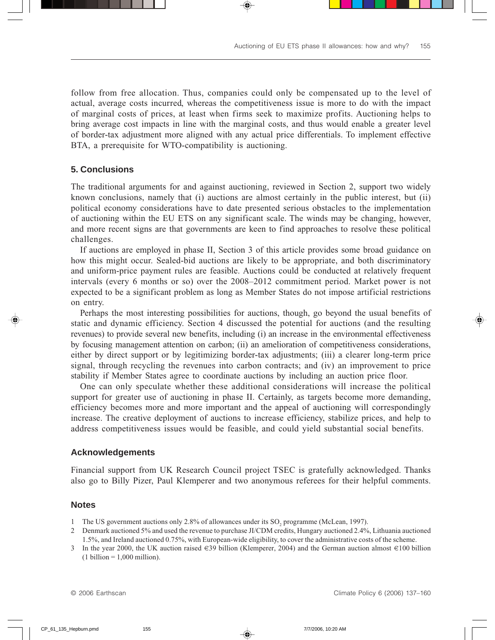follow from free allocation. Thus, companies could only be compensated up to the level of actual, average costs incurred, whereas the competitiveness issue is more to do with the impact of marginal costs of prices, at least when firms seek to maximize profits. Auctioning helps to bring average cost impacts in line with the marginal costs, and thus would enable a greater level of border-tax adjustment more aligned with any actual price differentials. To implement effective BTA, a prerequisite for WTO-compatibility is auctioning.

# **5. Conclusions**

The traditional arguments for and against auctioning, reviewed in Section 2, support two widely known conclusions, namely that (i) auctions are almost certainly in the public interest, but (ii) political economy considerations have to date presented serious obstacles to the implementation of auctioning within the EU ETS on any significant scale. The winds may be changing, however, and more recent signs are that governments are keen to find approaches to resolve these political challenges.

If auctions are employed in phase II, Section 3 of this article provides some broad guidance on how this might occur. Sealed-bid auctions are likely to be appropriate, and both discriminatory and uniform-price payment rules are feasible. Auctions could be conducted at relatively frequent intervals (every 6 months or so) over the 2008–2012 commitment period. Market power is not expected to be a significant problem as long as Member States do not impose artificial restrictions on entry.

Perhaps the most interesting possibilities for auctions, though, go beyond the usual benefits of static and dynamic efficiency. Section 4 discussed the potential for auctions (and the resulting revenues) to provide several new benefits, including (i) an increase in the environmental effectiveness by focusing management attention on carbon; (ii) an amelioration of competitiveness considerations, either by direct support or by legitimizing border-tax adjustments; (iii) a clearer long-term price signal, through recycling the revenues into carbon contracts; and (iv) an improvement to price stability if Member States agree to coordinate auctions by including an auction price floor.

One can only speculate whether these additional considerations will increase the political support for greater use of auctioning in phase II. Certainly, as targets become more demanding, efficiency becomes more and more important and the appeal of auctioning will correspondingly increase. The creative deployment of auctions to increase efficiency, stabilize prices, and help to address competitiveness issues would be feasible, and could yield substantial social benefits.

# **Acknowledgements**

Financial support from UK Research Council project TSEC is gratefully acknowledged. Thanks also go to Billy Pizer, Paul Klemperer and two anonymous referees for their helpful comments.

#### **Notes**

- 1 The US government auctions only 2.8% of allowances under its  $SO_2$  programme (McLean, 1997).
- 2 Denmark auctioned 5% and used the revenue to purchase JI/CDM credits, Hungary auctioned 2.4%, Lithuania auctioned 1.5%, and Ireland auctioned 0.75%, with European-wide eligibility, to cover the administrative costs of the scheme.
- 3 In the year 2000, the UK auction raised  $\epsilon$ 39 billion (Klemperer, 2004) and the German auction almost  $\epsilon$ 100 billion  $(1 \text{ billion} = 1,000 \text{ million}).$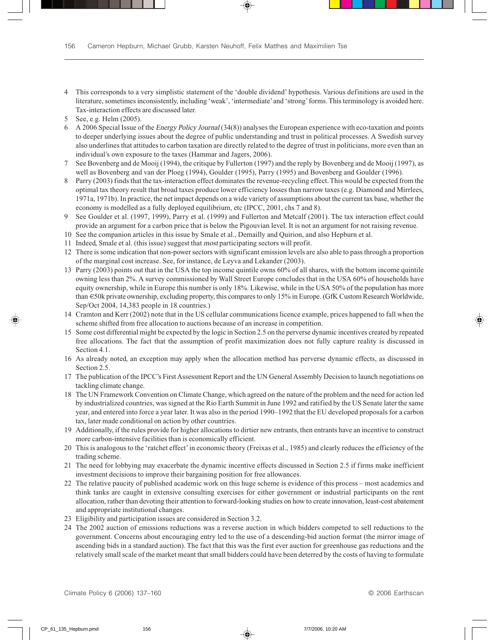- 4 This corresponds to a very simplistic statement of the 'double dividend' hypothesis. Various definitions are used in the literature, sometimes inconsistently, including 'weak', 'intermediate' and 'strong' forms. This terminology is avoided here. Tax-interaction effects are discussed later.
- 5 See, e.g. Helm (2005).
- 6 A 2006 Special Issue of the Energy Policy Journal (34(8)) analyses the European experience with eco-taxation and points to deeper underlying issues about the degree of public understanding and trust in political processes. A Swedish survey also underlines that attitudes to carbon taxation are directly related to the degree of trust in politicians, more even than an individual's own exposure to the taxes (Hammar and Jagers, 2006).
- 7 See Bovenberg and de Mooij (1994), the critique by Fullerton (1997) and the reply by Bovenberg and de Mooij (1997), as well as Bovenberg and van der Ploeg (1994), Goulder (1995), Parry (1995) and Bovenberg and Goulder (1996).
- 8 Parry (2003) finds that the tax-interaction effect dominates the revenue-recycling effect. This would be expected from the optimal tax theory result that broad taxes produce lower efficiency losses than narrow taxes (e.g. Diamond and Mirrlees, 1971a, 1971b). In practice, the net impact depends on a wide variety of assumptions about the current tax base, whether the economy is modelled as a fully deployed equilibrium, etc (IPCC, 2001, chs 7 and 8).
- 9 See Goulder et al. (1997, 1999), Parry et al. (1999) and Fullerton and Metcalf (2001). The tax interaction effect could provide an argument for a carbon price that is below the Pigouvian level. It is not an argument for not raising revenue.
- 10 See the companion articles in this issue by Smale et al., Demailly and Quirion, and also Hepburn et al.
- 11 Indeed, Smale et al. (this issue) suggest that most participating sectors will profit.
- 12 There is some indication that non-power sectors with significant emission levels are also able to pass through a proportion of the marginal cost increase. See, for instance, de Leyva and Lekander (2003).
- 13 Parry (2003) points out that in the USA the top income quintile owns 60% of all shares, with the bottom income quintile owning less than 2%. A survey commissioned by Wall Street Europe concludes that in the USA 60% of households have equity ownership, while in Europe this number is only 18%. Likewise, while in the USA 50% of the population has more than  $\epsilon$ 50k private ownership, excluding property, this compares to only 15% in Europe. (GfK Custom Research Worldwide, Sep/Oct 2004, 14,383 people in 18 countries.)
- 14 Cramton and Kerr (2002) note that in the US cellular communications licence example, prices happened to fall when the scheme shifted from free allocation to auctions because of an increase in competition.
- 15 Some cost differential might be expected by the logic in Section 2.5 on the perverse dynamic incentives created by repeated free allocations. The fact that the assumption of profit maximization does not fully capture reality is discussed in Section 4.1.
- 16 As already noted, an exception may apply when the allocation method has perverse dynamic effects, as discussed in Section 2.5.
- 17 The publication of the IPCC's First Assessment Report and the UN General Assembly Decision to launch negotiations on tackling climate change.
- 18 The UN Framework Convention on Climate Change, which agreed on the nature of the problem and the need for action led by industrialized countries, was signed at the Rio Earth Summit in June 1992 and ratified by the US Senate later the same year, and entered into force a year later. It was also in the period 1990–1992 that the EU developed proposals for a carbon tax, later made conditional on action by other countries.
- 19 Additionally, if the rules provide for higher allocations to dirtier new entrants, then entrants have an incentive to construct more carbon-intensive facilities than is economically efficient.
- 20 This is analogous to the 'ratchet effect' in economic theory (Freixas et al., 1985) and clearly reduces the efficiency of the trading scheme.
- 21 The need for lobbying may exacerbate the dynamic incentive effects discussed in Section 2.5 if firms make inefficient investment decisions to improve their bargaining position for free allowances.
- 22 The relative paucity of published academic work on this huge scheme is evidence of this process most academics and think tanks are caught in extensive consulting exercises for either government or industrial participants on the rent allocation, rather than devoting their attention to forward-looking studies on how to create innovation, least-cost abatement and appropriate institutional changes.
- 23 Eligibility and participation issues are considered in Section 3.2.
- 24 The 2002 auction of emissions reductions was a reverse auction in which bidders competed to sell reductions to the government. Concerns about encouraging entry led to the use of a descending-bid auction format (the mirror image of ascending bids in a standard auction). The fact that this was the first ever auction for greenhouse gas reductions and the relatively small scale of the market meant that small bidders could have been deterred by the costs of having to formulate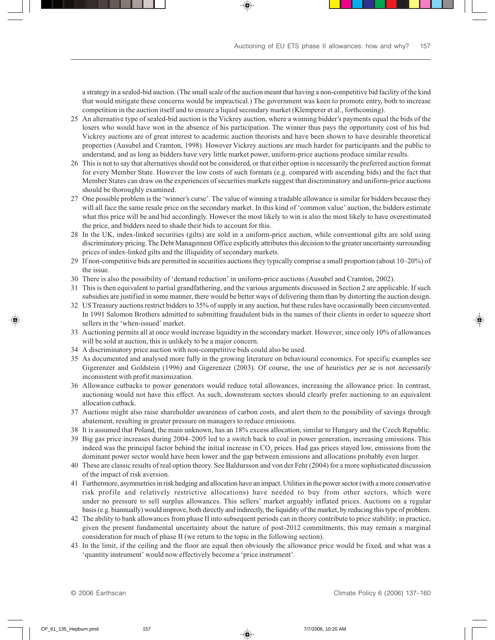a strategy in a sealed-bid auction. (The small scale of the auction meant that having a non-competitive bid facility of the kind that would mitigate these concerns would be impractical.) The government was keen to promote entry, both to increase competition in the auction itself and to ensure a liquid secondary market (Klemperer et al., forthcoming).

- 25 An alternative type of sealed-bid auction is the Vickrey auction, where a winning bidder's payments equal the bids of the losers who would have won in the absence of his participation. The winner thus pays the opportunity cost of his bid. Vickrey auctions are of great interest to academic auction theorists and have been shown to have desirable theoretical properties (Ausubel and Cramton, 1998). However Vickrey auctions are much harder for participants and the public to understand, and as long as bidders have very little market power, uniform-price auctions produce similar results.
- 26 This is not to say that alternatives should not be considered, or that either option is necessarily the preferred auction format for every Member State. However the low costs of such formats (e.g. compared with ascending bids) and the fact that Member States can draw on the experiences of securities markets suggest that discriminatory and uniform-price auctions should be thoroughly examined.
- 27 One possible problem is the 'winner's curse'. The value of winning a tradable allowance is similar for bidders because they will all face the same resale price on the secondary market. In this kind of 'common value' auction, the bidders estimate what this price will be and bid accordingly. However the most likely to win is also the most likely to have overestimated the price, and bidders need to shade their bids to account for this.
- 28 In the UK, index-linked securities (gilts) are sold in a uniform-price auction, while conventional gilts are sold using discriminatory pricing. The Debt Management Office explicitly attributes this decision to the greater uncertainty surrounding prices of index-linked gilts and the illiquidity of secondary markets.
- 29 If non-competitive bids are permitted in securities auctions they typically comprise a small proportion (about 10–20%) of the issue.
- 30 There is also the possibility of 'demand reduction' in uniform-price auctions (Ausubel and Cramton, 2002).
- 31 This is then equivalent to partial grandfathering, and the various arguments discussed in Section 2 are applicable. If such subsidies are justified in some manner, there would be better ways of delivering them than by distorting the auction design.
- 32 US Treasury auctions restrict bidders to 35% of supply in any auction, but these rules have occasionally been circumvented. In 1991 Salomon Brothers admitted to submitting fraudulent bids in the names of their clients in order to squeeze short sellers in the 'when-issued' market.
- 33 Auctioning permits all at once would increase liquidity in the secondary market. However, since only 10% of allowances will be sold at auction, this is unlikely to be a major concern.
- 34 A discriminatory price auction with non-competitive bids could also be used.
- 35 As documented and analysed more fully in the growing literature on behavioural economics. For specific examples see Gigerenzer and Goldstein (1996) and Gigerenzer (2003). Of course, the use of heuristics per se is not necessarily inconsistent with profit maximization.
- 36 Allowance cutbacks to power generators would reduce total allowances, increasing the allowance price. In contrast, auctioning would not have this effect. As such, downstream sectors should clearly prefer auctioning to an equivalent allocation cutback.
- 37 Auctions might also raise shareholder awareness of carbon costs, and alert them to the possibility of savings through abatement, resulting in greater pressure on managers to reduce emissions.
- 38 It is assumed that Poland, the main unknown, has an 18% excess allocation, similar to Hungary and the Czech Republic.
- 39 Big gas price increases during 2004–2005 led to a switch back to coal in power generation, increasing emissions. This indeed was the principal factor behind the initial increase in  $CO_2$  prices. Had gas prices stayed low, emissions from the dominant power sector would have been lower and the gap between emissions and allocations probably even larger.
- 40 These are classic results of real option theory. See Baldursson and von der Fehr (2004) for a more sophisticated discussion of the impact of risk aversion.
- 41 Furthermore, asymmetries in risk hedging and allocation have an impact. Utilities in the power sector (with a more conservative risk profile and relatively restrictive allocations) have needed to buy from other sectors, which were under no pressure to sell surplus allowances. This sellers' market arguably inflated prices. Auctions on a regular basis (e.g. biannually) would improve, both directly and indirectly, the liquidity of the market, by reducing this type of problem.
- 42 The ability to bank allowances from phase II into subsequent periods can in theory contribute to price stability; in practice, given the present fundamental uncertainty about the nature of post-2012 commitments, this may remain a marginal consideration for much of phase II (we return to the topic in the following section).
- 43 In the limit, if the ceiling and the floor are equal then obviously the allowance price would be fixed, and what was a 'quantity instrument' would now effectively become a 'price instrument'.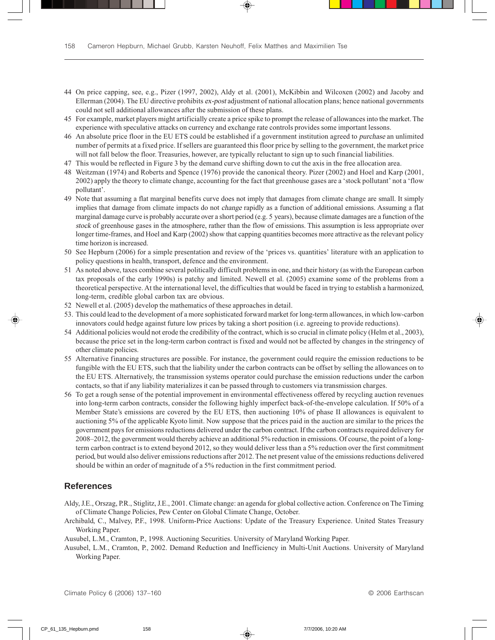- 44 On price capping, see, e.g., Pizer (1997, 2002), Aldy et al. (2001), McKibbin and Wilcoxen (2002) and Jacoby and Ellerman (2004). The EU directive prohibits ex-post adjustment of national allocation plans; hence national governments could not sell additional allowances after the submission of these plans.
- 45 For example, market players might artificially create a price spike to prompt the release of allowances into the market. The experience with speculative attacks on currency and exchange rate controls provides some important lessons.
- 46 An absolute price floor in the EU ETS could be established if a government institution agreed to purchase an unlimited number of permits at a fixed price. If sellers are guaranteed this floor price by selling to the government, the market price will not fall below the floor. Treasuries, however, are typically reluctant to sign up to such financial liabilities.
- 47 This would be reflected in Figure 3 by the demand curve shifting down to cut the axis in the free allocation area.
- 48 Weitzman (1974) and Roberts and Spence (1976) provide the canonical theory. Pizer (2002) and Hoel and Karp (2001, 2002) apply the theory to climate change, accounting for the fact that greenhouse gases are a 'stock pollutant' not a 'flow pollutant'.
- 49 Note that assuming a flat marginal benefits curve does not imply that damages from climate change are small. It simply implies that damage from climate impacts do not change rapidly as a function of additional emissions. Assuming a flat marginal damage curve is probably accurate over a short period (e.g. 5 years), because climate damages are a function of the stock of greenhouse gases in the atmosphere, rather than the flow of emissions. This assumption is less appropriate over longer time-frames, and Hoel and Karp (2002) show that capping quantities becomes more attractive as the relevant policy time horizon is increased.
- 50 See Hepburn (2006) for a simple presentation and review of the 'prices vs. quantities' literature with an application to policy questions in health, transport, defence and the environment.
- 51 As noted above, taxes combine several politically difficult problems in one, and their history (as with the European carbon tax proposals of the early 1990s) is patchy and limited. Newell et al. (2005) examine some of the problems from a theoretical perspective. At the international level, the difficulties that would be faced in trying to establish a harmonized, long-term, credible global carbon tax are obvious.
- 52 Newell et al. (2005) develop the mathematics of these approaches in detail.
- 53. This could lead to the development of a more sophisticated forward market for long-term allowances, in which low-carbon innovators could hedge against future low prices by taking a short position (i.e. agreeing to provide reductions).
- 54 Additional policies would not erode the credibility of the contract, which is so crucial in climate policy (Helm et al., 2003), because the price set in the long-term carbon contract is fixed and would not be affected by changes in the stringency of other climate policies.
- 55 Alternative financing structures are possible. For instance, the government could require the emission reductions to be fungible with the EU ETS, such that the liability under the carbon contracts can be offset by selling the allowances on to the EU ETS. Alternatively, the transmission systems operator could purchase the emission reductions under the carbon contacts, so that if any liability materializes it can be passed through to customers via transmission charges.
- 56 To get a rough sense of the potential improvement in environmental effectiveness offered by recycling auction revenues into long-term carbon contracts, consider the following highly imperfect back-of-the-envelope calculation. If 50% of a Member State's emissions are covered by the EU ETS, then auctioning 10% of phase II allowances is equivalent to auctioning 5% of the applicable Kyoto limit. Now suppose that the prices paid in the auction are similar to the prices the government pays for emissions reductions delivered under the carbon contract. If the carbon contracts required delivery for 2008–2012, the government would thereby achieve an additional 5% reduction in emissions. Of course, the point of a longterm carbon contract is to extend beyond 2012, so they would deliver less than a 5% reduction over the first commitment period, but would also deliver emissions reductions after 2012. The net present value of the emissions reductions delivered should be within an order of magnitude of a 5% reduction in the first commitment period.

### **References**

- Aldy, J.E., Orszag, P.R., Stiglitz, J.E., 2001. Climate change: an agenda for global collective action. Conference on The Timing of Climate Change Policies, Pew Center on Global Climate Change, October.
- Archibald, C., Malvey, P.F., 1998. Uniform-Price Auctions: Update of the Treasury Experience. United States Treasury Working Paper.
- Ausubel, L.M., Cramton, P., 1998. Auctioning Securities. University of Maryland Working Paper.
- Ausubel, L.M., Cramton, P., 2002. Demand Reduction and Inefficiency in Multi-Unit Auctions. University of Maryland Working Paper.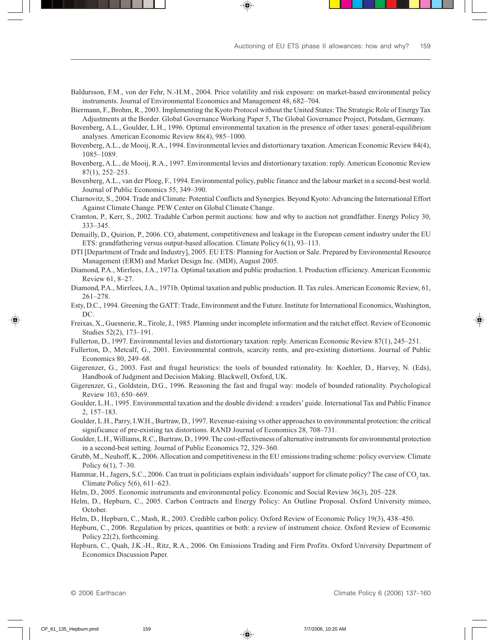Baldursson, F.M., von der Fehr, N.-H.M., 2004. Price volatility and risk exposure: on market-based environmental policy instruments. Journal of Environmental Economics and Management 48, 682–704.

Biermann, F., Brohm, R., 2003. Implementing the Kyoto Protocol without the United States: The Strategic Role of Energy Tax Adjustments at the Border. Global Governance Working Paper 5, The Global Governance Project, Potsdam, Germany.

Bovenberg, A.L., Goulder, L.H., 1996. Optimal environmental taxation in the presence of other taxes: general-equilibrium analyses. American Economic Review 86(4), 985–1000.

- Bovenberg, A.L., de Mooij, R.A., 1994. Environmental levies and distortionary taxation. American Economic Review 84(4), 1085–1089.
- Bovenberg, A.L., de Mooij, R.A., 1997. Environmental levies and distortionary taxation: reply. American Economic Review 87(1), 252–253.

Bovenberg, A.L., van der Ploeg, F., 1994. Environmental policy, public finance and the labour market in a second-best world. Journal of Public Economics 55, 349–390.

Charnovitz, S., 2004. Trade and Climate: Potential Conflicts and Synergies. Beyond Kyoto: Advancing the International Effort Against Climate Change. PEW Center on Global Climate Change.

Cramton, P., Kerr, S., 2002. Tradable Carbon permit auctions: how and why to auction not grandfather. Energy Policy 30, 333–345.

Demailly, D., Quirion, P., 2006. CO<sub>2</sub> abatement, competitiveness and leakage in the European cement industry under the EU ETS: grandfathering versus output-based allocation. Climate Policy 6(1), 93–113.

DTI [Department of Trade and Industry], 2005. EU ETS: Planning for Auction or Sale. Prepared by Environmental Resource Management (ERM) and Market Design Inc. (MDI), August 2005.

Diamond, P.A., Mirrlees, J.A., 1971a. Optimal taxation and public production. I. Production efficiency. American Economic Review 61, 8–27.

Diamond, P.A., Mirrlees, J.A., 1971b. Optimal taxation and public production. II. Tax rules. American Economic Review, 61, 261–278.

Esty, D.C., 1994. Greening the GATT: Trade, Environment and the Future. Institute for International Economics, Washington, DC.

Freixas, X., Guesnerie, R., Tirole, J., 1985. Planning under incomplete information and the ratchet effect. Review of Economic Studies 52(2), 173–191.

Fullerton, D., 1997. Environmental levies and distortionary taxation: reply. American Economic Review 87(1), 245–251.

Fullerton, D., Metcalf, G., 2001. Environmental controls, scarcity rents, and pre-existing distortions. Journal of Public Economics 80, 249–68.

Gigerenzer, G., 2003. Fast and frugal heuristics: the tools of bounded rationality. In: Koehler, D., Harvey, N. (Eds), Handbook of Judgment and Decision Making. Blackwell, Oxford, UK.

Gigerenzer, G., Goldstein, D.G., 1996. Reasoning the fast and frugal way: models of bounded rationality. Psychological Review 103, 650–669.

Goulder, L.H., 1995. Environmental taxation and the double dividend: a readers' guide. International Tax and Public Finance 2, 157–183.

Goulder, L.H., Parry, I.W.H., Burtraw, D., 1997. Revenue-raising vs other approaches to environmental protection: the critical significance of pre-existing tax distortions. RAND Journal of Economics 28, 708–731.

Goulder, L.H., Williams, R.C., Burtraw, D., 1999. The cost-effectiveness of alternative instruments for environmental protection in a second-best setting. Journal of Public Economics 72, 329–360.

Grubb, M., Neuhoff, K., 2006. Allocation and competitiveness in the EU emissions trading scheme: policy overview. Climate Policy 6(1), 7–30.

Hammar, H., Jagers, S.C., 2006. Can trust in politicians explain individuals' support for climate policy? The case of CO<sub>2</sub> tax. Climate Policy 5(6), 611–623.

Helm, D., 2005. Economic instruments and environmental policy. Economic and Social Review 36(3), 205–228.

Helm, D., Hepburn, C., 2005. Carbon Contracts and Energy Policy: An Outline Proposal. Oxford University mimeo, October.

Helm, D., Hepburn, C., Mash, R., 2003. Credible carbon policy. Oxford Review of Economic Policy 19(3), 438–450.

Hepburn, C., 2006. Regulation by prices, quantities or both: a review of instrument choice. Oxford Review of Economic Policy 22(2), forthcoming.

Hepburn, C., Quah, J.K.-H., Ritz, R.A., 2006. On Emissions Trading and Firm Profits. Oxford University Department of Economics Discussion Paper.